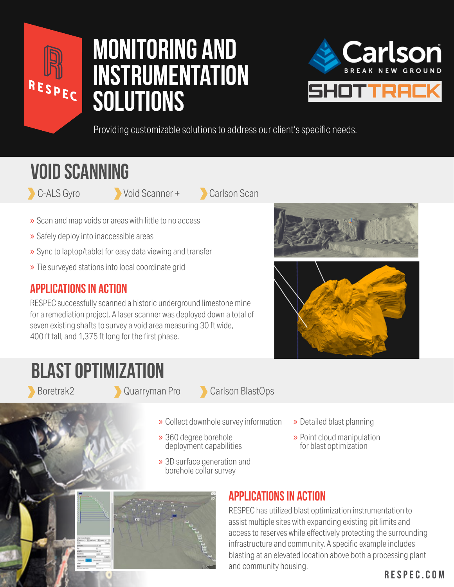

# **monitoring and instrumentation solutions**



Providing customizable solutions to address our client's specific needs.

### **void scanning**

- C-ALS Gyro Void Scanner + Carlson Scan
- 
- » Scan and map voids or areas with little to no access
- » Safely deploy into inaccessible areas
- » Sync to laptop/tablet for easy data viewing and transfer
- » Tie surveyed stations into local coordinate grid

### **Applications in Action**

RESPEC successfully scanned a historic underground limestone mine for a remediation project. A laser scanner was deployed down a total of seven existing shafts to survey a void area measuring 30 ft wide, 400 ft tall, and 1,375 ft long for the first phase.

### **Blast optimization**

Boretrak2 Quarryman Pro Carlson BlastOps

- » Collect downhole survey information
- » 360 degree borehole deployment capabilities
- » 3D surface generation and borehole collar survey
- » Detailed blast planning
- » Point cloud manipulation for blast optimization



#### **Applications in Action**

RESPEC has utilized blast optimization instrumentation to assist multiple sites with expanding existing pit limits and access to reserves while effectively protecting the surrounding infrastructure and community. A specific example includes blasting at an elevated location above both a processing plant and community housing.

#### **RESPEC.COM**